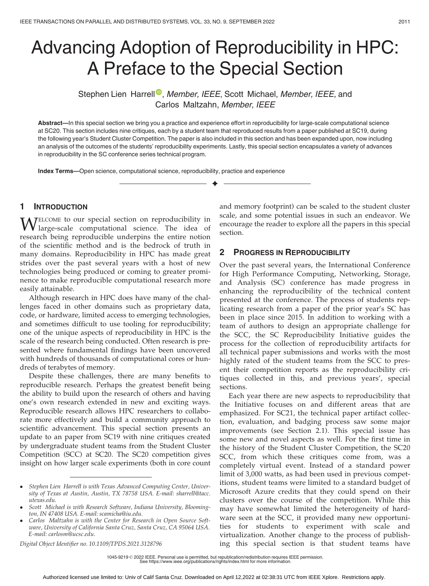# Advancing Adoption of Reproducibility in HPC: A Preface to the Special Section

Stephen Lien Harre[l](https://orcid.org/0000-0001-5327-525X)l<sup>®</sup>, Member, IEEE, Scott Michael, Member, IEEE, and Carlos Maltzahn, Member, IEEE

Abstract—In this special section we bring you a practice and experience effort in reproducibility for large-scale computational science at SC20. This section includes nine critiques, each by a student team that reproduced results from a paper published at SC19, during the following year's Student Cluster Competition. The paper is also included in this section and has been expanded upon, now including an analysis of the outcomes of the students' reproducibility experiments. Lastly, this special section encapsulates a variety of advances in reproducibility in the SC conference series technical program.

 $\blacklozenge$ 

Index Terms—Open science, computational science, reproducibility, practice and experience

#### 1 INTRODUCTION

WELCOME to our special section on reproducibility in<br>large-scale computational science. The idea of research being reproducible underpins the entire notion of the scientific method and is the bedrock of truth in many domains. Reproducibility in HPC has made great strides over the past several years with a host of new technologies being produced or coming to greater prominence to make reproducible computational research more easily attainable.

Although research in HPC does have many of the challenges faced in other domains such as proprietary data, code, or hardware, limited access to emerging technologies, and sometimes difficult to use tooling for reproducibility; one of the unique aspects of reproducibility in HPC is the scale of the research being conducted. Often research is presented where fundamental findings have been uncovered with hundreds of thousands of computational cores or hundreds of terabytes of memory.

Despite these challenges, there are many benefits to reproducible research. Perhaps the greatest benefit being the ability to build upon the research of others and having one's own research extended in new and exciting ways. Reproducible research allows HPC researchers to collaborate more effectively and build a community approach to scientific advancement. This special section presents an update to an paper from SC19 with nine critiques created by undergraduate student teams from the Student Cluster Competition (SCC) at SC20. The SC20 competition gives insight on how larger scale experiments (both in core count

Digital Object Identifier no. 10.1109/TPDS.2021.3128796

and memory footprint) can be scaled to the student cluster scale, and some potential issues in such an endeavor. We encourage the reader to explore all the papers in this special section.

#### 2 PROGRESS IN REPRODUCIBILITY

Over the past several years, the International Conference for High Performance Computing, Networking, Storage, and Analysis (SC) conference has made progress in enhancing the reproducibility of the technical content presented at the conference. The process of students replicating research from a paper of the prior year's SC has been in place since 2015. In addition to working with a team of authors to design an appropriate challenge for the SCC, the SC Reproducibility Initiative guides the process for the collection of reproducibility artifacts for all technical paper submissions and works with the most highly rated of the student teams from the SCC to present their competition reports as the reproducibility critiques collected in this, and previous years', special sections.

Each year there are new aspects to reproducibility that the Initiative focuses on and different areas that are emphasized. For SC21, the technical paper artifact collection, evaluation, and badging process saw some major improvements (see Section 2.1). This special issue has some new and novel aspects as well. For the first time in the history of the Student Cluster Competition, the SC20 SCC, from which these critiques come from, was a completely virtual event. Instead of a standard power limit of 3,000 watts, as had been used in previous competitions, student teams were limited to a standard budget of Microsoft Azure credits that they could spend on their clusters over the course of the competition. While this may have somewhat limited the heterogeneity of hardware seen at the SCC, it provided many new opportunities for students to experiment with scale and virtualization. Another change to the process of publishing this special section is that student teams have

Stephen Lien Harrell is with Texas Advanced Computing Center, University of Texas at Austin, Austin, TX 78758 USA. E-mail: [sharrell@tacc.](mailto:sharrell@tacc.utexas.edu) [utexas.edu](mailto:sharrell@tacc.utexas.edu).

Scott Michael is with Research Software, Indiana University, Bloomington, IN 47408 USA. E-mail: [scamicha@iu.edu](mailto:scamicha@iu.edu).

Carlos Maltzahn is with the Center for Research in Open Source Software, University of California Santa Cruz, Santa Cruz, CA 95064 USA. E-mail: [carlosm@ucsc.edu.](mailto:carlosm@ucsc.edu)

<sup>1045-9219</sup> © 2022 IEEE. Personal use is permitted, but republication/redistribution requires IEEE permission. See https://www.ieee.org/publications/rights/index.html for more information.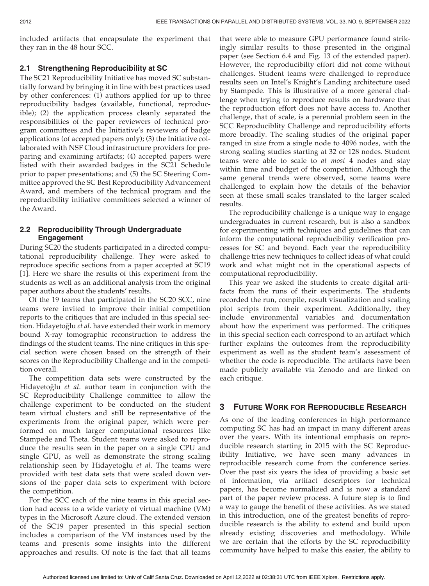included artifacts that encapsulate the experiment that they ran in the 48 hour SCC.

#### 2.1 Strengthening Reproducibility at SC

The SC21 Reproducibility Initiative has moved SC substantially forward by bringing it in line with best practices used by other conferences: (1) authors applied for up to three reproducibility badges (available, functional, reproducible); (2) the application process cleanly separated the responsibilities of the paper reviewers of technical program committees and the Initiative's reviewers of badge applications (of accepted papers only); (3) the Initiative collaborated with NSF Cloud infrastructure providers for preparing and examining artifacts; (4) accepted papers were listed with their awarded badges in the SC21 Schedule prior to paper presentations; and (5) the SC Steering Committee approved the SC Best Reproducibility Advancement Award, and members of the technical program and the reproducibility initiative committees selected a winner of the Award.

### 2.2 Reproducibility Through Undergraduate Engagement

During SC20 the students participated in a directed computational reproducibility challenge. They were asked to reproduce specific sections from a paper accepted at SC19 [1]. Here we share the results of this experiment from the students as well as an additional analysis from the original paper authors about the students' results.

Of the 19 teams that participated in the SC20 SCC, nine teams were invited to improve their initial competition reports to the critiques that are included in this special section. Hidayetoğlu et al. have extended their work in memory bound X-ray tomographic reconstruction to address the findings of the student teams. The nine critiques in this special section were chosen based on the strength of their scores on the Reproducibility Challenge and in the competition overall.

The competition data sets were constructed by the Hidayetoğlu et al. author team in conjunction with the SC Reproducibility Challenge committee to allow the challenge experiment to be conducted on the student team virtual clusters and still be representative of the experiments from the original paper, which were performed on much larger computational resources like Stampede and Theta. Student teams were asked to reproduce the results seen in the paper on a single CPU and single GPU, as well as demonstrate the strong scaling relationship seen by Hidayetoğlu et al. The teams were provided with test data sets that were scaled down versions of the paper data sets to experiment with before the competition.

For the SCC each of the nine teams in this special section had access to a wide variety of virtual machine (VM) types in the Microsoft Azure cloud. The extended version of the SC19 paper presented in this special section includes a comparison of the VM instances used by the teams and presents some insights into the different approaches and results. Of note is the fact that all teams

that were able to measure GPU performance found strikingly similar results to those presented in the original paper (see Section 6.4 and Fig. 13 of the extended paper). However, the reproducibilty effort did not come without challenges. Student teams were challenged to reproduce results seen on Intel's Knight's Landing architecture used by Stampede. This is illustrative of a more general challenge when trying to reproduce results on hardware that the reproduction effort does not have access to. Another challenge, that of scale, is a perennial problem seen in the SCC Reproduciblity Challenge and reproducibility efforts more broadly. The scaling studies of the original paper ranged in size from a single node to 4096 nodes, with the strong scaling studies starting at 32 or 128 nodes. Student teams were able to scale to at most 4 nodes and stay within time and budget of the competition. Although the same general trends were observed, some teams were challenged to explain how the details of the behavior seen at these small scales translated to the larger scaled results.

The reproducibility challenge is a unique way to engage undergraduates in current research, but is also a sandbox for experimenting with techniques and guidelines that can inform the computational reproducibility verification processes for SC and beyond. Each year the reproducibility challenge tries new techniques to collect ideas of what could work and what might not in the operational aspects of computational reproducibility.

This year we asked the students to create digital artifacts from the runs of their experiments. The students recorded the run, compile, result visualization and scaling plot scripts from their experiment. Additionally, they include environmental variables and documentation about how the experiment was performed. The critiques in this special section each correspond to an artifact which further explains the outcomes from the reproducibility experiment as well as the student team's assessment of whether the code is reproducible. The artifacts have been made publicly available via Zenodo and are linked on each critique.

## 3 FUTURE WORK FOR REPRODUCIBLE RESEARCH

As one of the leading conferences in high performance computing SC has had an impact in many different areas over the years. With its intentional emphasis on reproducible research starting in 2015 with the SC Reproducibility Initiative, we have seen many advances in reproducible research come from the conference series. Over the past six years the idea of providing a basic set of information, via artifact descriptors for technical papers, has become normalized and is now a standard part of the paper review process. A future step is to find a way to gauge the benefit of these activities. As we stated in this introduction, one of the greatest benefits of reproducible research is the ability to extend and build upon already existing discoveries and methodology. While we are certain that the efforts by the SC reproducibility community have helped to make this easier, the ability to